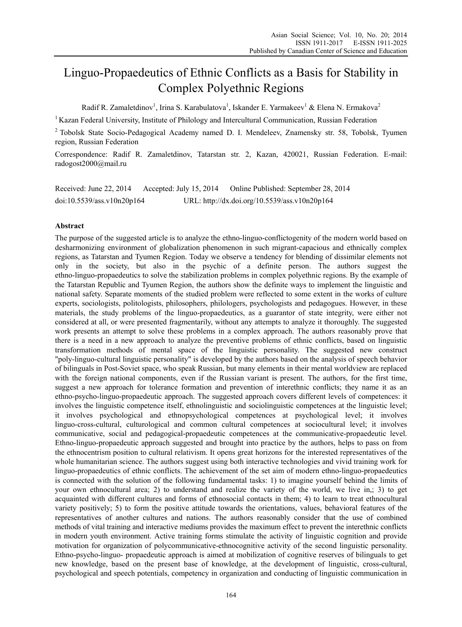# Linguo-Propaedeutics of Ethnic Conflicts as a Basis for Stability in Complex Polyethnic Regions

Radif R. Zamaletdinov<sup>1</sup>, Irina S. Karabulatova<sup>1</sup>, Iskander E. Yarmakeev<sup>1</sup> & Elena N. Ermakova<sup>2</sup>

<sup>1</sup> Kazan Federal University, Institute of Philology and Intercultural Communication, Russian Federation

2 Tobolsk State Socio-Pedagogical Academy named D. I. Mendeleev, Znamensky str. 58, Tobolsk, Tyumen region, Russian Federation

Correspondence: Radif R. Zamaletdinov, Tatarstan str. 2, Kazan, 420021, Russian Federation. E-mail: radogost2000@mail.ru

Received: June 22, 2014 Accepted: July 15, 2014 Online Published: September 28, 2014 doi:10.5539/ass.v10n20p164 URL: http://dx.doi.org/10.5539/ass.v10n20p164

#### **Abstract**

The purpose of the suggested article is to analyze the ethno-linguo-conflictogenity of the modern world based on desharmonizing environment of globalization phenomenon in such migrant-capacious and ethnically complex regions, as Tatarstan and Tyumen Region. Today we observe a tendency for blending of dissimilar elements not only in the society, but also in the psychic of a definite person. The authors suggest the ethno-linguo-propaedeutics to solve the stabilization problems in complex polyethnic regions. By the example of the Tatarstan Republic and Tyumen Region, the authors show the definite ways to implement the linguistic and national safety. Separate moments of the studied problem were reflected to some extent in the works of culture experts, sociologists, politologists, philosophers, philologers, psychologists and pedagogues. However, in these materials, the study problems of the linguo-propaedeutics, as a guarantor of state integrity, were either not considered at all, or were presented fragmentarily, without any attempts to analyze it thoroughly. The suggested work presents an attempt to solve these problems in a complex approach. The authors reasonably prove that there is a need in a new approach to analyze the preventive problems of ethnic conflicts, based on linguistic transformation methods of mental space of the linguistic personality. The suggested new construct "poly-linguo-cultural linguistic personality" is developed by the authors based on the analysis of speech behavior of bilinguals in Post-Soviet space, who speak Russian, but many elements in their mental worldview are replaced with the foreign national components, even if the Russian variant is present. The authors, for the first time, suggest a new approach for tolerance formation and prevention of interethnic conflicts; they name it as an ethno-psycho-linguo-propaedeutic approach. The suggested approach covers different levels of competences: it involves the linguistic competence itself, ethnolinguistic and sociolinguistic competences at the linguistic level; it involves psychological and ethnopsychological competences at psychological level; it involves linguo-cross-cultural, culturological and common cultural competences at sociocultural level; it involves communicative, social and pedagogical-propaedeutic competences at the communicative-propaedeutic level. Ethno-linguo-propaedeutic approach suggested and brought into practice by the authors, helps to pass on from the ethnocentrism position to cultural relativism. It opens great horizons for the interested representatives of the whole humanitarian science. The authors suggest using both interactive technologies and vivid training work for linguo-propaedeutics of ethnic conflicts. The achievement of the set aim of modern ethno-linguo-propaedeutics is connected with the solution of the following fundamental tasks: 1) to imagine yourself behind the limits of your own ethnocultural area; 2) to understand and realize the variety of the world, we live in,; 3) to get acquainted with different cultures and forms of ethnosocial contacts in them; 4) to learn to treat ethnocultural variety positively; 5) to form the positive attitude towards the orientations, values, behavioral features of the representatives of another cultures and nations. The authors reasonably consider that the use of combined methods of vital training and interactive mediums provides the maximum effect to prevent the interethnic conflicts in modern youth environment. Active training forms stimulate the activity of linguistic cognition and provide motivation for organization of polycommunicative-ethnocognitive activity of the second linguistic personality. Ethno-psycho-linguo- propaedeutic approach is aimed at mobilization of cognitive reserves of bilinguals to get new knowledge, based on the present base of knowledge, at the development of linguistic, cross-cultural, psychological and speech potentials, competency in organization and conducting of linguistic communication in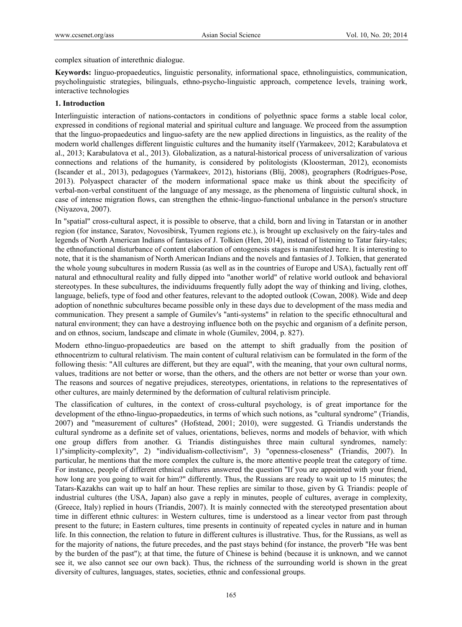complex situation of interethnic dialogue.

**Keywords:** linguo-propaedeutics, linguistic personality, informational space, ethnolinguistics, communication, psycholinguistic strategies, bilinguals, ethno-psycho-linguistic approach, competence levels, training work, interactive technologies

# **1. Introduction**

Interlinguistic interaction of nations-contactors in conditions of polyethnic space forms a stable local color, expressed in conditions of regional material and spiritual culture and language. We proceed from the assumption that the linguo-propaedeutics and linguo-safety are the new applied directions in linguistics, as the reality of the modern world challenges different linguistic cultures and the humanity itself (Yarmakeev, 2012; Karabulatova et al., 2013; Karabulatova et al., 2013). Globalization, as a natural-historical process of universalization of various connections and relations of the humanity, is considered by politologists (Kloosterman, 2012), economists (Iscander et al., 2013), pedagogues (Yarmakeev, 2012), historians (Blij, 2008), geographers (Rodrígues-Pose, 2013). Polyaspect character of the modern informational space make us think about the specificity of verbal-non-verbal constituent of the language of any message, as the phenomena of linguistic cultural shock, in case of intense migration flows, can strengthen the ethnic-linguo-functional unbalance in the person's structure (Niyazova, 2007).

In "spatial" cross-cultural aspect, it is possible to observe, that a child, born and living in Tatarstan or in another region (for instance, Saratov, Novosibirsk, Tyumen regions etc.), is brought up exclusively on the fairy-tales and legends of North American Indians of fantasies of J. Tolkien (Hen, 2014), instead of listening to Tatar fairy-tales; the ethnofunctional disturbance of content elaboration of ontogenesis stages is manifested here. It is interesting to note, that it is the shamanism of North American Indians and the novels and fantasies of J. Tolkien, that generated the whole young subcultures in modern Russia (as well as in the countries of Europe and USA), factually rent off natural and ethnocultural reality and fully dipped into "another world" of relative world outlook and behavioral stereotypes. In these subcultures, the individuums frequently fully adopt the way of thinking and living, clothes, language, beliefs, type of food and other features, relevant to the adopted outlook (Cowan, 2008). Wide and deep adoption of nonethnic subcultures became possible only in these days due to development of the mass media and communication. They present a sample of Gumilev's "anti-systems" in relation to the specific ethnocultural and natural environment; they can have a destroying influence both on the psychic and organism of a definite person, and on ethnos, socium, landscape and climate in whole (Gumilev, 2004, p. 827).

Modern ethno-linguo-propaedeutics are based on the attempt to shift gradually from the position of ethnocentrizm to cultural relativism. The main content of cultural relativism can be formulated in the form of the following thesis: "All cultures are different, but they are equal", with the meaning, that your own cultural norms, values, traditions are not better or worse, than the others, and the others are not better or worse than your own. The reasons and sources of negative prejudices, stereotypes, orientations, in relations to the representatives of other cultures, are mainly determined by the deformation of cultural relativism principle.

The classification of cultures, in the context of cross-cultural psychology, is of great importance for the development of the ethno-linguo-propaedeutics, in terms of which such notions, as "cultural syndrome" (Triandis, 2007) and "measurement of cultures" (Hofstead, 2001; 2010), were suggested. G. Triandis understands the cultural syndrome as a definite set of values, orientations, believes, norms and models of behavior, with which one group differs from another. G. Triandis distinguishes three main cultural syndromes, namely: 1)"simplicity-complexity", 2) "individualism-collectivism", 3) "openness-closeness" (Triandis, 2007). In particular, he mentions that the more complex the culture is, the more attentive people treat the category of time. For instance, people of different ethnical cultures answered the question "If you are appointed with your friend, how long are you going to wait for him?" differently. Thus, the Russians are ready to wait up to 15 minutes; the Tatars-Kazakhs can wait up to half an hour. These replies are similar to those, given by G. Triandis: people of industrial cultures (the USA, Japan) also gave a reply in minutes, people of cultures, average in complexity, (Greece, Italy) replied in hours (Triandis, 2007). It is mainly connected with the stereotyped presentation about time in different ethnic cultures: in Western cultures, time is understood as a linear vector from past through present to the future; in Eastern cultures, time presents in continuity of repeated cycles in nature and in human life. In this connection, the relation to future in different cultures is illustrative. Thus, for the Russians, as well as for the majority of nations, the future precedes, and the past stays behind (for instance, the proverb "He was bent by the burden of the past"); at that time, the future of Chinese is behind (because it is unknown, and we cannot see it, we also cannot see our own back). Thus, the richness of the surrounding world is shown in the great diversity of cultures, languages, states, societies, ethnic and confessional groups.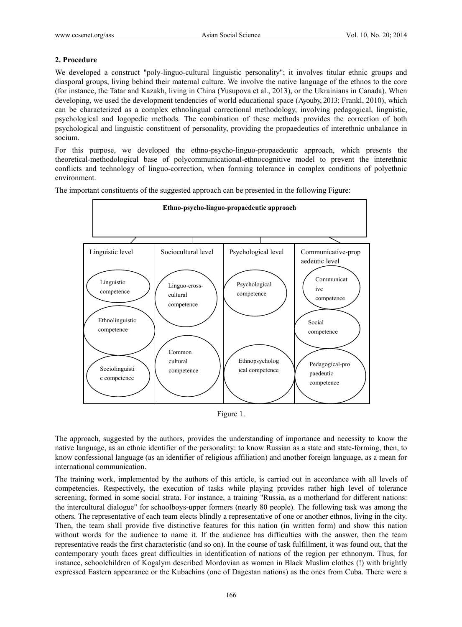# **2. Procedure**

We developed a construct "poly-linguo-cultural linguistic personality"; it involves titular ethnic groups and diasporal groups, living behind their maternal culture. We involve the native language of the ethnos to the core (for instance, the Tatar and Kazakh, living in China (Yusupova et al., 2013), or the Ukrainians in Canada). When developing, we used the development tendencies of world educational space (Ayouby, 2013; Frankl, 2010), which can be characterized as a complex ethnolingual correctional methodology, involving pedagogical, linguistic, psychological and logopedic methods. The combination of these methods provides the correction of both psychological and linguistic constituent of personality, providing the propaedeutics of interethnic unbalance in socium.

For this purpose, we developed the ethno-psycho-linguo-propaedeutic approach, which presents the theoretical-methodological base of polycommunicational-ethnocognitive model to prevent the interethnic conflicts and technology of linguo-correction, when forming tolerance in complex conditions of polyethnic environment.

The important constituents of the suggested approach can be presented in the following Figure:



Figure 1.

The approach, suggested by the authors, provides the understanding of importance and necessity to know the native language, as an ethnic identifier of the personality: to know Russian as a state and state-forming, then, to know confessional language (as an identifier of religious affiliation) and another foreign language, as a mean for international communication.

The training work, implemented by the authors of this article, is carried out in accordance with all levels of competencies. Respectively, the execution of tasks while playing provides rather high level of tolerance screening, formed in some social strata. For instance, a training "Russia, as a motherland for different nations: the intercultural dialogue" for schoolboys-upper formers (nearly 80 people). The following task was among the others. The representative of each team elects blindly a representative of one or another ethnos, living in the city. Then, the team shall provide five distinctive features for this nation (in written form) and show this nation without words for the audience to name it. If the audience has difficulties with the answer, then the team representative reads the first characteristic (and so on). In the course of task fulfillment, it was found out, that the contemporary youth faces great difficulties in identification of nations of the region per ethnonym. Thus, for instance, schoolchildren of Kogalym described Mordovian as women in Black Muslim clothes (!) with brightly expressed Eastern appearance or the Kubachins (one of Dagestan nations) as the ones from Cuba. There were a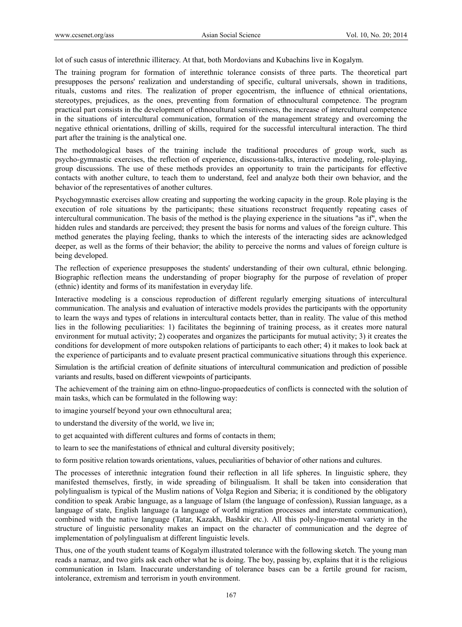lot of such casus of interethnic illiteracy. At that, both Mordovians and Kubachins live in Kogalym.

The training program for formation of interethnic tolerance consists of three parts. The theoretical part presupposes the persons' realization and understanding of specific, cultural universals, shown in traditions, rituals, customs and rites. The realization of proper egocentrism, the influence of ethnical orientations, stereotypes, prejudices, as the ones, preventing from formation of ethnocultural competence. The program practical part consists in the development of ethnocultural sensitiveness, the increase of intercultural competence in the situations of intercultural communication, formation of the management strategy and overcoming the negative ethnical orientations, drilling of skills, required for the successful intercultural interaction. The third part after the training is the analytical one.

The methodological bases of the training include the traditional procedures of group work, such as psycho-gymnastic exercises, the reflection of experience, discussions-talks, interactive modeling, role-playing, group discussions. The use of these methods provides an opportunity to train the participants for effective contacts with another culture, to teach them to understand, feel and analyze both their own behavior, and the behavior of the representatives of another cultures.

Psychogymnastic exercises allow creating and supporting the working capacity in the group. Role playing is the execution of role situations by the participants; these situations reconstruct frequently repeating cases of intercultural communication. The basis of the method is the playing experience in the situations "as if", when the hidden rules and standards are perceived; they present the basis for norms and values of the foreign culture. This method generates the playing feeling, thanks to which the interests of the interacting sides are acknowledged deeper, as well as the forms of their behavior; the ability to perceive the norms and values of foreign culture is being developed.

The reflection of experience presupposes the students' understanding of their own cultural, ethnic belonging. Biographic reflection means the understanding of proper biography for the purpose of revelation of proper (ethnic) identity and forms of its manifestation in everyday life.

Interactive modeling is a conscious reproduction of different regularly emerging situations of intercultural communication. The analysis and evaluation of interactive models provides the participants with the opportunity to learn the ways and types of relations in intercultural contacts better, than in reality. The value of this method lies in the following peculiarities: 1) facilitates the beginning of training process, as it creates more natural environment for mutual activity; 2) cooperates and organizes the participants for mutual activity; 3) it creates the conditions for development of more outspoken relations of participants to each other; 4) it makes to look back at the experience of participants and to evaluate present practical communicative situations through this experience.

Simulation is the artificial creation of definite situations of intercultural communication and prediction of possible variants and results, based on different viewpoints of participants.

The achievement of the training aim on ethno-linguo-propaedeutics of conflicts is connected with the solution of main tasks, which can be formulated in the following way:

to imagine yourself beyond your own ethnocultural area;

to understand the diversity of the world, we live in;

to get acquainted with different cultures and forms of contacts in them;

to learn to see the manifestations of ethnical and cultural diversity positively;

to form positive relation towards orientations, values, peculiarities of behavior of other nations and cultures.

The processes of interethnic integration found their reflection in all life spheres. In linguistic sphere, they manifested themselves, firstly, in wide spreading of bilingualism. It shall be taken into consideration that polylingualism is typical of the Muslim nations of Volga Region and Siberia; it is conditioned by the obligatory condition to speak Arabic language, as a language of Islam (the language of confession), Russian language, as a language of state, English language (a language of world migration processes and interstate communication), combined with the native language (Tatar, Kazakh, Bashkir etc.). All this poly-linguo-mental variety in the structure of linguistic personality makes an impact on the character of communication and the degree of implementation of polylingualism at different linguistic levels.

Thus, one of the youth student teams of Kogalym illustrated tolerance with the following sketch. The young man reads a namaz, and two girls ask each other what he is doing. The boy, passing by, explains that it is the religious communication in Islam. Inaccurate understanding of tolerance bases can be a fertile ground for racism, intolerance, extremism and terrorism in youth environment.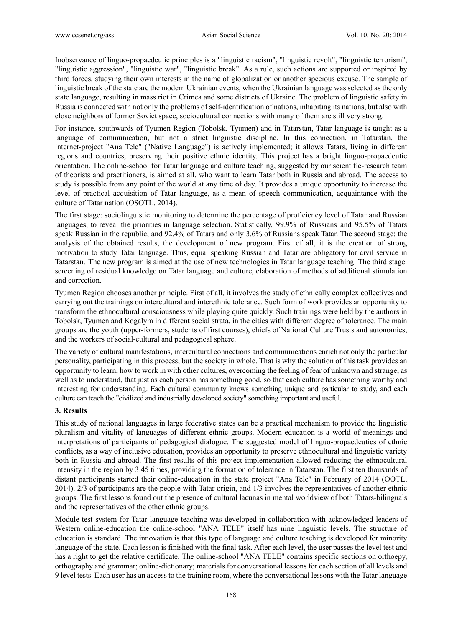Inobservance of linguo-propaedeutic principles is a "linguistic racism", "linguistic revolt", "linguistic terrorism", "linguistic aggression", "linguistic war", "linguistic break". As a rule, such actions are supported or inspired by third forces, studying their own interests in the name of globalization or another specious excuse. The sample of linguistic break of the state are the modern Ukrainian events, when the Ukrainian language was selected as the only state language, resulting in mass riot in Crimea and some districts of Ukraine. The problem of linguistic safety in Russia is connected with not only the problems of self-identification of nations, inhabiting its nations, but also with close neighbors of former Soviet space, sociocultural connections with many of them are still very strong.

For instance, southwards of Tyumen Region (Tobolsk, Tyumen) and in Tatarstan, Tatar language is taught as a language of communication, but not a strict linguistic discipline. In this connection, in Tatarstan, the internet-project "Ana Tele" ("Native Language") is actively implemented; it allows Tatars, living in different regions and countries, preserving their positive ethnic identity. This project has a bright linguo-propaedeutic orientation. The online-school for Tatar language and culture teaching, suggested by our scientific-research team of theorists and practitioners, is aimed at all, who want to learn Tatar both in Russia and abroad. The access to study is possible from any point of the world at any time of day. It provides a unique opportunity to increase the level of practical acquisition of Tatar language, as a mean of speech communication, acquaintance with the culture of Tatar nation (OSOTL, 2014).

The first stage: sociolinguistic monitoring to determine the percentage of proficiency level of Tatar and Russian languages, to reveal the priorities in language selection. Statistically, 99.9% of Russians and 95.5% of Tatars speak Russian in the republic, and 92.4% of Tatars and only 3.6% of Russians speak Tatar. The second stage: the analysis of the obtained results, the development of new program. First of all, it is the creation of strong motivation to study Tatar language. Thus, equal speaking Russian and Tatar are obligatory for civil service in Tatarstan. The new program is aimed at the use of new technologies in Tatar language teaching. The third stage: screening of residual knowledge on Tatar language and culture, elaboration of methods of additional stimulation and correction.

Tyumen Region chooses another principle. First of all, it involves the study of ethnically complex collectives and carrying out the trainings on intercultural and interethnic tolerance. Such form of work provides an opportunity to transform the ethnocultural consciousness while playing quite quickly. Such trainings were held by the authors in Tobolsk, Tyumen and Kogalym in different social strata, in the cities with different degree of tolerance. The main groups are the youth (upper-formers, students of first courses), chiefs of National Culture Trusts and autonomies, and the workers of social-cultural and pedagogical sphere.

The variety of cultural manifestations, intercultural connections and communications enrich not only the particular personality, participating in this process, but the society in whole. That is why the solution of this task provides an opportunity to learn, how to work in with other cultures, overcoming the feeling of fear of unknown and strange, as well as to understand, that just as each person has something good, so that each culture has something worthy and interesting for understanding. Each cultural community knows something unique and particular to study, and each culture can teach the "civilized and industrially developed society" something important and useful.

## **3. Results**

This study of national languages in large federative states can be a practical mechanism to provide the linguistic pluralism and vitality of languages of different ethnic groups. Modern education is a world of meanings and interpretations of participants of pedagogical dialogue. The suggested model of linguo-propaedeutics of ethnic conflicts, as a way of inclusive education, provides an opportunity to preserve ethnocultural and linguistic variety both in Russia and abroad. The first results of this project implementation allowed reducing the ethnocultural intensity in the region by 3.45 times, providing the formation of tolerance in Tatarstan. The first ten thousands of distant participants started their online-education in the state project "Ana Tele" in February of 2014 (OOTL, 2014). 2/3 of participants are the people with Tatar origin, and 1/3 involves the representatives of another ethnic groups. The first lessons found out the presence of cultural lacunas in mental worldview of both Tatars-bilinguals and the representatives of the other ethnic groups.

Module-test system for Tatar language teaching was developed in collaboration with acknowledged leaders of Western online-education the online-school "ANA TELE" itself has nine linguistic levels. The structure of education is standard. The innovation is that this type of language and culture teaching is developed for minority language of the state. Each lesson is finished with the final task. After each level, the user passes the level test and has a right to get the relative certificate. The online-school "ANA TELE" contains specific sections on orthoepy, orthography and grammar; online-dictionary; materials for conversational lessons for each section of all levels and 9 level tests. Each user has an access to the training room, where the conversational lessons with the Tatar language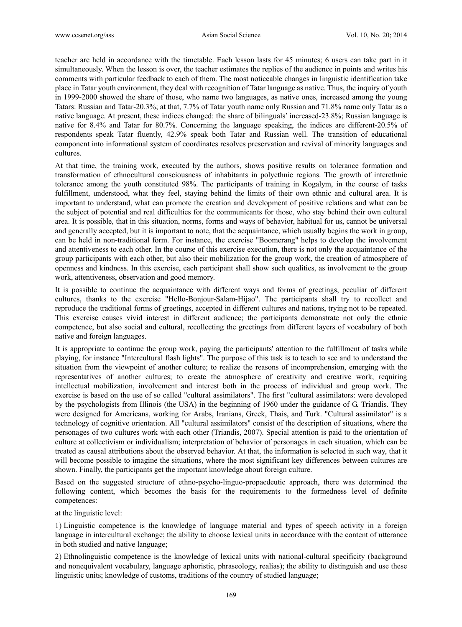teacher are held in accordance with the timetable. Each lesson lasts for 45 minutes; 6 users can take part in it simultaneously. When the lesson is over, the teacher estimates the replies of the audience in points and writes his comments with particular feedback to each of them. The most noticeable changes in linguistic identification take place in Tatar youth environment, they deal with recognition of Tatar language as native. Thus, the inquiry of youth in 1999-2000 showed the share of those, who name two languages, as native ones, increased among the young Tatars: Russian and Tatar-20.3%; at that, 7.7% of Tatar youth name only Russian and 71.8% name only Tatar as a native language. At present, these indices changed: the share of bilinguals' increased-23.8%; Russian language is native for 8.4% and Tatar for 80.7%. Concerning the language speaking, the indices are different-20.5% of respondents speak Tatar fluently, 42.9% speak both Tatar and Russian well. The transition of educational component into informational system of coordinates resolves preservation and revival of minority languages and cultures.

At that time, the training work, executed by the authors, shows positive results on tolerance formation and transformation of ethnocultural consciousness of inhabitants in polyethnic regions. The growth of interethnic tolerance among the youth constituted 98%. The participants of training in Kogalym, in the course of tasks fulfillment, understood, what they feel, staying behind the limits of their own ethnic and cultural area. It is important to understand, what can promote the creation and development of positive relations and what can be the subject of potential and real difficulties for the communicants for those, who stay behind their own cultural area. It is possible, that in this situation, norms, forms and ways of behavior, habitual for us, cannot be universal and generally accepted, but it is important to note, that the acquaintance, which usually begins the work in group, can be held in non-traditional form. For instance, the exercise "Boomerang" helps to develop the involvement and attentiveness to each other. In the course of this exercise execution, there is not only the acquaintance of the group participants with each other, but also their mobilization for the group work, the creation of atmosphere of openness and kindness. In this exercise, each participant shall show such qualities, as involvement to the group work, attentiveness, observation and good memory.

It is possible to continue the acquaintance with different ways and forms of greetings, peculiar of different cultures, thanks to the exercise "Hello-Bonjour-Salam-Hijao". The participants shall try to recollect and reproduce the traditional forms of greetings, accepted in different cultures and nations, trying not to be repeated. This exercise causes vivid interest in different audience; the participants demonstrate not only the ethnic competence, but also social and cultural, recollecting the greetings from different layers of vocabulary of both native and foreign languages.

It is appropriate to continue the group work, paying the participants' attention to the fulfillment of tasks while playing, for instance "Intercultural flash lights". The purpose of this task is to teach to see and to understand the situation from the viewpoint of another culture; to realize the reasons of incomprehension, emerging with the representatives of another cultures; to create the atmosphere of creativity and creative work, requiring intellectual mobilization, involvement and interest both in the process of individual and group work. The exercise is based on the use of so called "cultural assimilators". The first "cultural assimilators: were developed by the psychologists from Illinois (the USA) in the beginning of 1960 under the guidance of G. Triandis. They were designed for Americans, working for Arabs, Iranians, Greek, Thais, and Turk. "Cultural assimilator" is a technology of cognitive orientation. All "cultural assimilators" consist of the description of situations, where the personages of two cultures work with each other (Triandis, 2007). Special attention is paid to the orientation of culture at collectivism or individualism; interpretation of behavior of personages in each situation, which can be treated as causal attributions about the observed behavior. At that, the information is selected in such way, that it will become possible to imagine the situations, where the most significant key differences between cultures are shown. Finally, the participants get the important knowledge about foreign culture.

Based on the suggested structure of ethno-psycho-linguo-propaedeutic approach, there was determined the following content, which becomes the basis for the requirements to the formedness level of definite competences:

at the linguistic level:

1) Linguistic competence is the knowledge of language material and types of speech activity in a foreign language in intercultural exchange; the ability to choose lexical units in accordance with the content of utterance in both studied and native language;

2) Ethnolinguistic competence is the knowledge of lexical units with national-cultural specificity (background and nonequivalent vocabulary, language aphoristic, phraseology, realias); the ability to distinguish and use these linguistic units; knowledge of customs, traditions of the country of studied language;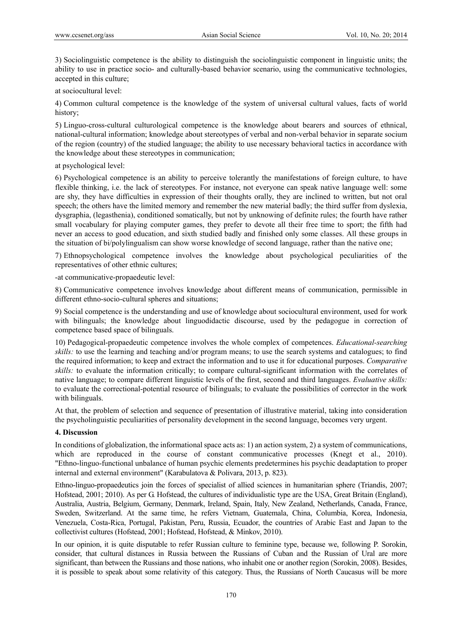3) Sociolinguistic competence is the ability to distinguish the sociolinguistic component in linguistic units; the ability to use in practice socio- and culturally-based behavior scenario, using the communicative technologies, accepted in this culture;

at sociocultural level:

4) Common cultural competence is the knowledge of the system of universal cultural values, facts of world history;

5) Linguo-cross-cultural culturological competence is the knowledge about bearers and sources of ethnical, national-cultural information; knowledge about stereotypes of verbal and non-verbal behavior in separate socium of the region (country) of the studied language; the ability to use necessary behavioral tactics in accordance with the knowledge about these stereotypes in communication;

at psychological level:

6) Psychological competence is an ability to perceive tolerantly the manifestations of foreign culture, to have flexible thinking, i.e. the lack of stereotypes. For instance, not everyone can speak native language well: some are shy, they have difficulties in expression of their thoughts orally, they are inclined to written, but not oral speech; the others have the limited memory and remember the new material badly; the third suffer from dyslexia, dysgraphia, (legasthenia), conditioned somatically, but not by unknowing of definite rules; the fourth have rather small vocabulary for playing computer games, they prefer to devote all their free time to sport; the fifth had never an access to good education, and sixth studied badly and finished only some classes. All these groups in the situation of bi/polylingualism can show worse knowledge of second language, rather than the native one;

7) Ethnopsychological competence involves the knowledge about psychological peculiarities of the representatives of other ethnic cultures;

-at communicative-propaedeutic level:

8) Communicative competence involves knowledge about different means of communication, permissible in different ethno-socio-cultural spheres and situations;

9) Social competence is the understanding and use of knowledge about sociocultural environment, used for work with bilinguals; the knowledge about linguodidactic discourse, used by the pedagogue in correction of competence based space of bilinguals.

10) Pedagogical-propaedeutic competence involves the whole complex of competences. *Educational-searching skills:* to use the learning and teaching and/or program means; to use the search systems and catalogues; to find the required information; to keep and extract the information and to use it for educational purposes. *Comparative skills:* to evaluate the information critically; to compare cultural-significant information with the correlates of native language; to compare different linguistic levels of the first, second and third languages. *Evaluative skills:* to evaluate the correctional-potential resource of bilinguals; to evaluate the possibilities of corrector in the work with bilinguals.

At that, the problem of selection and sequence of presentation of illustrative material, taking into consideration the psycholinguistic peculiarities of personality development in the second language, becomes very urgent.

## **4. Discussion**

In conditions of globalization, the informational space acts as: 1) an action system, 2) a system of communications, which are reproduced in the course of constant communicative processes (Knegt et al., 2010). "Ethno-linguo-functional unbalance of human psychic elements predetermines his psychic deadaptation to proper internal and external environment" (Karabulatova & Polivara, 2013, p. 823).

Ethno-linguo-propaedeutics join the forces of specialist of allied sciences in humanitarian sphere (Triandis, 2007; Hofstead, 2001; 2010). As per G. Hofstead, the cultures of individualistic type are the USA, Great Britain (England), Australia, Austria, Belgium, Germany, Denmark, Ireland, Spain, Italy, New Zealand, Netherlands, Canada, France, Sweden, Switzerland. At the same time, he refers Vietnam, Guatemala, China, Columbia, Korea, Indonesia, Venezuela, Costa-Rica, Portugal, Pakistan, Peru, Russia, Ecuador, the countries of Arabic East and Japan to the collectivist cultures (Hofstead, 2001; Hofstead, Hofstead, & Minkov, 2010).

In our opinion, it is quite disputable to refer Russian culture to feminine type, because we, following P. Sorokin, consider, that cultural distances in Russia between the Russians of Cuban and the Russian of Ural are more significant, than between the Russians and those nations, who inhabit one or another region (Sorokin, 2008). Besides, it is possible to speak about some relativity of this category. Thus, the Russians of North Caucasus will be more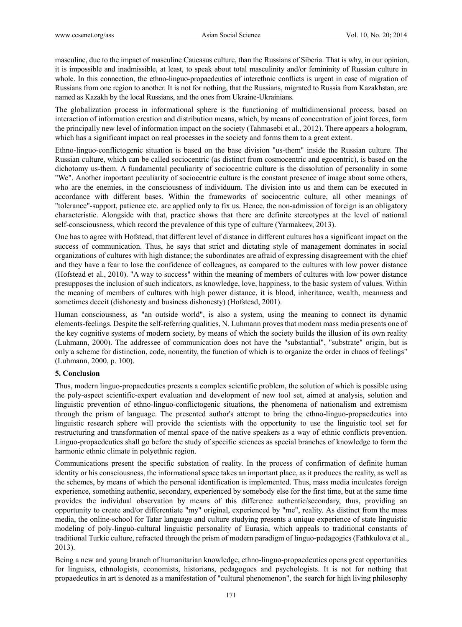masculine, due to the impact of masculine Caucasus culture, than the Russians of Siberia. That is why, in our opinion, it is impossible and inadmissible, at least, to speak about total masculinity and/or femininity of Russian culture in whole. In this connection, the ethno-linguo-propaedeutics of interethnic conflicts is urgent in case of migration of Russians from one region to another. It is not for nothing, that the Russians, migrated to Russia from Kazakhstan, are named as Kazakh by the local Russians, and the ones from Ukraine-Ukrainians.

The globalization process in informational sphere is the functioning of multidimensional process, based on interaction of information creation and distribution means, which, by means of concentration of joint forces, form the principally new level of information impact on the society (Tahmasebi et al., 2012). There appears a hologram, which has a significant impact on real processes in the society and forms them to a great extent.

Ethno-linguo-conflictogenic situation is based on the base division "us-them" inside the Russian culture. The Russian culture, which can be called sociocentric (as distinct from cosmocentric and egocentric), is based on the dichotomy us-them. A fundamental peculiarity of sociocentric culture is the dissolution of personality in some "We". Another important peculiarity of sociocentric culture is the constant presence of image about some others, who are the enemies, in the consciousness of individuum. The division into us and them can be executed in accordance with different bases. Within the frameworks of sociocentric culture, all other meanings of "tolerance"-support, patience etc. are applied only to fix us. Hence, the non-admission of foreign is an obligatory characteristic. Alongside with that, practice shows that there are definite stereotypes at the level of national self-consciousness, which record the prevalence of this type of culture (Yarmakeev, 2013).

One has to agree with Hofstead, that different level of distance in different cultures has a significant impact on the success of communication. Thus, he says that strict and dictating style of management dominates in social organizations of cultures with high distance; the subordinates are afraid of expressing disagreement with the chief and they have a fear to lose the confidence of colleagues, as compared to the cultures with low power distance (Hofstead et al., 2010). "A way to success" within the meaning of members of cultures with low power distance presupposes the inclusion of such indicators, as knowledge, love, happiness, to the basic system of values. Within the meaning of members of cultures with high power distance, it is blood, inheritance, wealth, meanness and sometimes deceit (dishonesty and business dishonesty) (Hofstead, 2001).

Human consciousness, as "an outside world", is also a system, using the meaning to connect its dynamic elements-feelings. Despite the self-referring qualities, N. Luhmann proves that modern mass media presents one of the key cognitive systems of modern society, by means of which the society builds the illusion of its own reality (Luhmann, 2000). The addressee of communication does not have the "substantial", "substrate" origin, but is only a scheme for distinction, code, nonentity, the function of which is to organize the order in chaos of feelings" (Luhmann, 2000, p. 100).

## **5. Conclusion**

Thus, modern linguo-propaedeutics presents a complex scientific problem, the solution of which is possible using the poly-aspect scientific-expert evaluation and development of new tool set, aimed at analysis, solution and linguistic prevention of ethno-linguo-conflictogenic situations, the phenomena of nationalism and extremism through the prism of language. The presented author's attempt to bring the ethno-linguo-propaedeutics into linguistic research sphere will provide the scientists with the opportunity to use the linguistic tool set for restructuring and transformation of mental space of the native speakers as a way of ethnic conflicts prevention. Linguo-propaedeutics shall go before the study of specific sciences as special branches of knowledge to form the harmonic ethnic climate in polyethnic region.

Communications present the specific substation of reality. In the process of confirmation of definite human identity or his consciousness, the informational space takes an important place, as it produces the reality, as well as the schemes, by means of which the personal identification is implemented. Thus, mass media inculcates foreign experience, something authentic, secondary, experienced by somebody else for the first time, but at the same time provides the individual observation by means of this difference authentic/secondary, thus, providing an opportunity to create and/or differentiate "my" original, experienced by "me", reality. As distinct from the mass media, the online-school for Tatar language and culture studying presents a unique experience of state linguistic modeling of poly-linguo-cultural linguistic personality of Eurasia, which appeals to traditional constants of traditional Turkic culture, refracted through the prism of modern paradigm of linguo-pedagogics (Fathkulova et al., 2013).

Being a new and young branch of humanitarian knowledge, ethno-linguo-propaedeutics opens great opportunities for linguists, ethnologists, economists, historians, pedagogues and psychologists. It is not for nothing that propaedeutics in art is denoted as a manifestation of "cultural phenomenon", the search for high living philosophy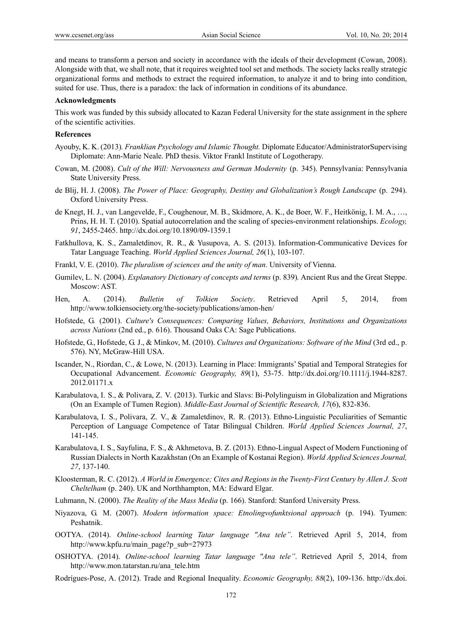and means to transform a person and society in accordance with the ideals of their development (Cowan, 2008). Alongside with that, we shall note, that it requires weighted tool set and methods. The society lacks really strategic organizational forms and methods to extract the required information, to analyze it and to bring into condition, suited for use. Thus, there is a paradox: the lack of information in conditions of its abundance.

#### **Acknowledgments**

This work was funded by this subsidy allocated to Kazan Federal University for the state assignment in the sphere of the scientific activities.

#### **References**

- Ayouby, K. K. (2013)*. Franklian Psychology and Islamic Thought.* Diplomate Educator/AdministratorSupervising Diplomate: Ann-Marie Neale. PhD thesis. Viktor Frankl Institute of Logotherapy.
- Cowan, M. (2008). *Cult of the Will: Nervousness and German Modernity* (p. 345). Pennsylvania: Pennsylvania State University Press.
- de Blij, H. J. (2008). *The Power of Place: Geography, Destiny and Globalization's Rough Landscape* (p. 294). Oxford University Press.
- de Knegt, H. J., van Langevelde, F., Coughenour, M. B., Skidmore, A. K., de Boer, W. F., Heitkönig, I. M. A., …, Prins, H. H. T. (2010). Spatial autocorrelation and the scaling of species-environment relationships. *Ecology, 91*, 2455-2465. http://dx.doi.org/10.1890/09-1359.1
- Fatkhullova, K. S., Zamaletdinov, R. R., & Yusupova, A. S. (2013). Information-Communicative Devices for Tatar Language Teaching. *World Applied Sciences Journal, 26*(1), 103-107.
- Frankl, V. E. (2010). *The pluralism of sciences and the unity of man*. University of Vienna.
- Gumilev, L. N. (2004). *Explanatory Dictionary of concepts and terms* (p. 839)*.* Ancient Rus and the Great Steppe. Moscow: AST.
- Hen, A. (2014). *Bulletin of Tolkien Society*. Retrieved April 5, 2014, from http://www.tolkiensociety.org/the-society/publications/amon-hen/
- Hofstede, G. (2001). *Culture's Consequences: Comparing Values, Behaviors, Institutions and Organizations across Nations* (2nd ed., p. 616). Thousand Oaks CA: Sage Publications.
- Hofstede, G., Hofstede, G. J., & Minkov, M. (2010). *Cultures and Organizations: Software of the Mind* (3rd ed., p. 576). NY, McGraw-Hill USA.
- Iscander, N., Riordan, C., & Lowe, N. (2013). Learning in Place: Immigrants' Spatial and Temporal Strategies for Occupational Advancement. *Economic Geography, 89*(1), 53-75. http://dx.doi.org/10.1111/j.1944-8287. 2012.01171.x
- Karabulatova, I. S., & Polivara, Z. V. (2013). Turkic and Slavs: Bi-Polylinguism in Globalization and Migrations (On an Example of Tumen Region). *Middle-East Journal of Scientific Research, 17*(6), 832-836.
- Karabulatova, I. S., Polivara, Z. V., & Zamaletdinov, R. R. (2013). Ethno-Linguistic Peculiarities of Semantic Perception of Language Competence of Tatar Bilingual Children. *World Applied Sciences Journal, 27*, 141-145.
- Karabulatova, I. S., Sayfulina, F. S., & Akhmetova, B. Z. (2013). Ethno-Lingual Aspect of Modern Functioning of Russian Dialects in North Kazakhstan (On an Example of Kostanai Region). *World Applied Sciences Journal, 27*, 137-140.
- Kloosterman, R. C. (2012). *A World in Emergence; Cites and Regions in the Twenty-First Century by Allen J. Scott Cheltelham* (p. 240). UK and Northhampton, MA: Edward Elgar.
- Luhmann, N. (2000). *The Reality of the Mass Media* (p. 166). Stanford: Stanford University Press.
- Niyazova, G. M. (2007). *Modern information space: Etnolingvofunktsional approach* (p. 194). Tyumen: Peshatnik.
- OOTYA. (2014). *Online-school learning Tatar language "Ana tele"*. Retrieved April 5, 2014, from http://www.kpfu.ru/main\_page?p\_sub=27973
- OSHOTYA. (2014). *Online-school learning Tatar language "Ana tele"*. Retrieved April 5, 2014, from http://www.mon.tatarstan.ru/ana\_tele.htm
- Rodrígues-Pose, A. (2012). Trade and Regional Inequality. *Economic Geography, 88*(2), 109-136. http://dx.doi.